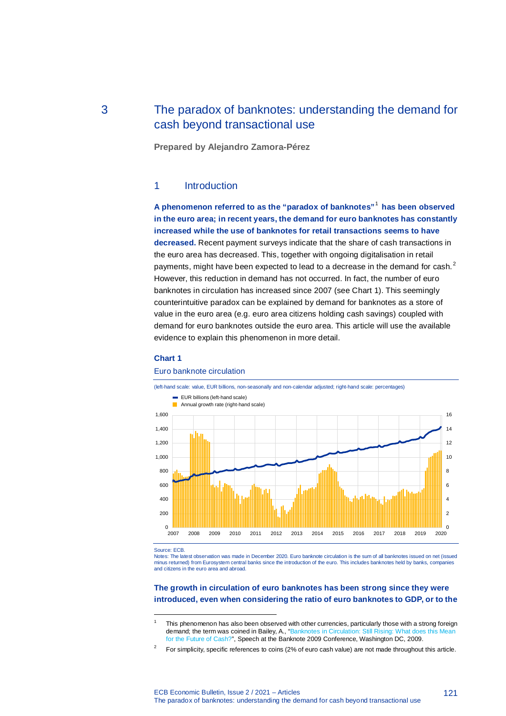# 3 The paradox of banknotes: understanding the demand for cash beyond transactional use

**Prepared by Alejandro Zamora-Pérez**

## 1 Introduction

**A phenomenon referred to as the "paradox of banknotes"**<sup>1</sup> **has been observed in the euro area; in recent years, the demand for euro banknotes has constantly increased while the use of banknotes for retail transactions seems to have decreased.** Recent payment surveys indicate that the share of cash transactions in the euro area has decreased. This, together with ongoing digitalisation in retail payments, might have been expected to lead to a decrease in the demand for cash.<sup>2</sup> However, this reduction in demand has not occurred. In fact, the number of euro banknotes in circulation has increased since 2007 (see Chart 1). This seemingly counterintuitive paradox can be explained by demand for banknotes as a store of value in the euro area (e.g. euro area citizens holding cash savings) coupled with demand for euro banknotes outside the euro area. This article will use the available evidence to explain this phenomenon in more detail.

### **Chart 1**



#### Euro banknote circulation

Source: ECB.

j

Notes: The latest observation was made in December 2020. Euro banknote circulation is the sum of all banknotes issued on net (issued minus returned) from Eurosystem central banks since the introduction of the euro. This includes banknotes held by banks, companies and citizens in the euro area and abroad.

### **The growth in circulation of euro banknotes has been strong since they were introduced, even when considering the ratio of euro banknotes to GDP, or to the**

This phenomenon has also been observed with other currencies, particularly those with a strong foreign demand; the term was coined in Bailey, A., "Banknotes in Circulation: Still Rising: What does this Mean for the Future of Cash?", Speech at the Banknote 2009 Conference, Washington DC, 2009.

<sup>2</sup> For simplicity, specific references to coins (2% of euro cash value) are not made throughout this article.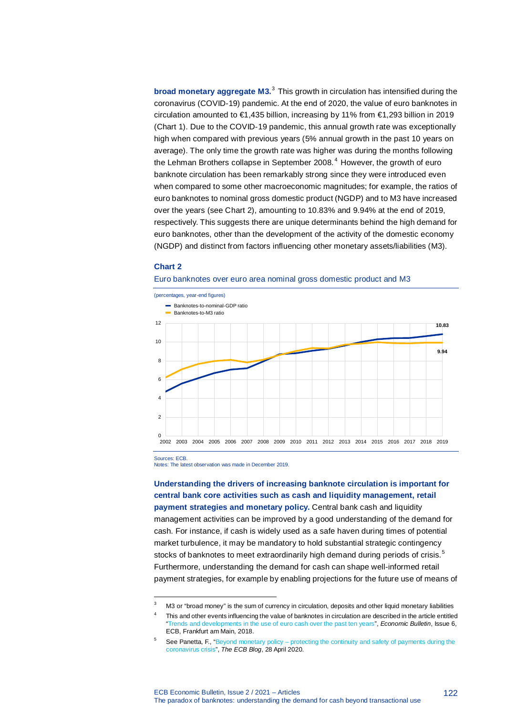**broad monetary aggregate M3.**<sup>3</sup> This growth in circulation has intensified during the coronavirus (COVID-19) pandemic. At the end of 2020, the value of euro banknotes in circulation amounted to €1,435 billion, increasing by 11% from €1,293 billion in 2019 (Chart 1). Due to the COVID-19 pandemic, this annual growth rate was exceptionally high when compared with previous years (5% annual growth in the past 10 years on average). The only time the growth rate was higher was during the months following the Lehman Brothers collapse in September 2008.<sup>4</sup> However, the growth of euro banknote circulation has been remarkably strong since they were introduced even when compared to some other macroeconomic magnitudes; for example, the ratios of euro banknotes to nominal gross domestic product (NGDP) and to M3 have increased over the years (see Chart 2), amounting to 10.83% and 9.94% at the end of 2019, respectively. This suggests there are unique determinants behind the high demand for euro banknotes, other than the development of the activity of the domestic economy (NGDP) and distinct from factors influencing other monetary assets/liabilities (M3).

#### **Chart 2**





Sources: ECB.

j

Notes: The latest observation was made in December 2019.

**Understanding the drivers of increasing banknote circulation is important for central bank core activities such as cash and liquidity management, retail payment strategies and monetary policy.** Central bank cash and liquidity management activities can be improved by a good understanding of the demand for cash. For instance, if cash is widely used as a safe haven during times of potential market turbulence, it may be mandatory to hold substantial strategic contingency stocks of banknotes to meet extraordinarily high demand during periods of crisis.<sup>5</sup> Furthermore, understanding the demand for cash can shape well-informed retail payment strategies, for example by enabling projections for the future use of means of

<sup>&</sup>lt;sup>3</sup> M3 or "broad money" is the sum of currency in circulation, deposits and other liquid monetary liabilities

<sup>4</sup> This and other events influencing the value of banknotes in circulation are described in the article entitled "Trends and developments in the use of euro cash over the past ten years", *Economic Bulletin*, Issue 6, ECB, Frankfurt am Main, 2018.

See Panetta, F., "Beyond monetary policy – protecting the continuity and safety of payments during the coronavirus crisis", *The ECB Blog*, 28 April 2020.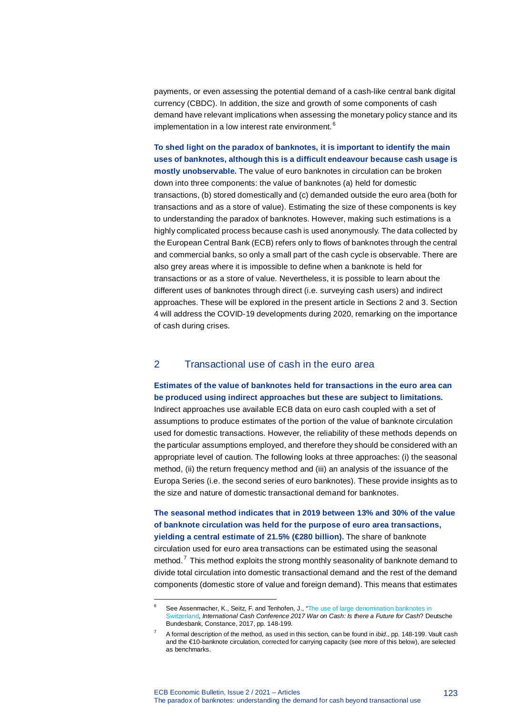payments, or even assessing the potential demand of a cash-like central bank digital currency (CBDC). In addition, the size and growth of some components of cash demand have relevant implications when assessing the monetary policy stance and its implementation in a low interest rate environment.<sup>6</sup>

**To shed light on the paradox of banknotes, it is important to identify the main uses of banknotes, although this is a difficult endeavour because cash usage is mostly unobservable.** The value of euro banknotes in circulation can be broken down into three components: the value of banknotes (a) held for domestic transactions, (b) stored domestically and (c) demanded outside the euro area (both for transactions and as a store of value). Estimating the size of these components is key to understanding the paradox of banknotes. However, making such estimations is a highly complicated process because cash is used anonymously. The data collected by the European Central Bank (ECB) refers only to flows of banknotes through the central and commercial banks, so only a small part of the cash cycle is observable. There are also grey areas where it is impossible to define when a banknote is held for transactions or as a store of value. Nevertheless, it is possible to learn about the different uses of banknotes through direct (i.e. surveying cash users) and indirect approaches. These will be explored in the present article in Sections 2 and 3. Section 4 will address the COVID-19 developments during 2020, remarking on the importance of cash during crises.

## 2 Transactional use of cash in the euro area

## **Estimates of the value of banknotes held for transactions in the euro area can be produced using indirect approaches but these are subject to limitations.**

Indirect approaches use available ECB data on euro cash coupled with a set of assumptions to produce estimates of the portion of the value of banknote circulation used for domestic transactions. However, the reliability of these methods depends on the particular assumptions employed, and therefore they should be considered with an appropriate level of caution. The following looks at three approaches: (i) the seasonal method, (ii) the return frequency method and (iii) an analysis of the issuance of the Europa Series (i.e. the second series of euro banknotes). These provide insights as to the size and nature of domestic transactional demand for banknotes.

**The seasonal method indicates that in 2019 between 13% and 30% of the value of banknote circulation was held for the purpose of euro area transactions, yielding a central estimate of 21.5% (€280 billion).** The share of banknote circulation used for euro area transactions can be estimated using the seasonal method.<sup>7</sup> This method exploits the strong monthly seasonality of banknote demand to divide total circulation into domestic transactional demand and the rest of the demand components (domestic store of value and foreign demand). This means that estimates

j

See Assenmacher, K., Seitz, F. and Tenhofen, J., "The use of large denomination banknotes in Switzerland, *International Cash Conference 2017 War on Cash: Is there a Future for Cash*? Deutsche Bundesbank, Constance, 2017, pp. 148-199.

<sup>7</sup> A formal description of the method, as used in this section, can be found in *ibid*., pp. 148-199. Vault cash and the €10-banknote circulation, corrected for carrying capacity (see more of this below), are selected as benchmarks.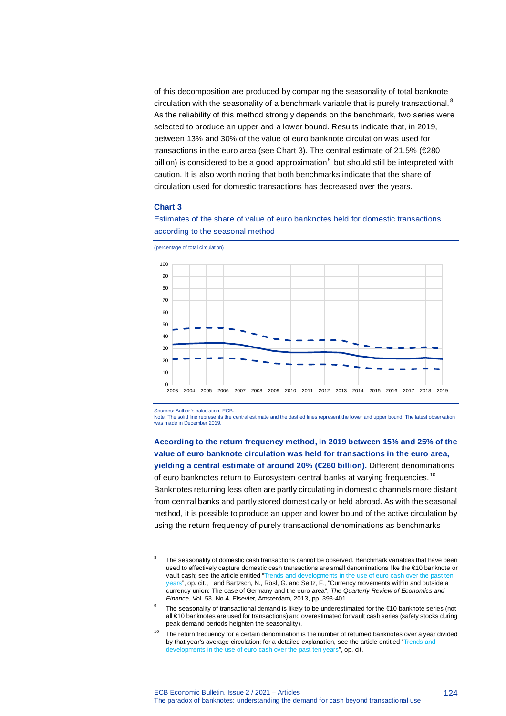of this decomposition are produced by comparing the seasonality of total banknote circulation with the seasonality of a benchmark variable that is purely transactional.<sup>8</sup> As the reliability of this method strongly depends on the benchmark, two series were selected to produce an upper and a lower bound. Results indicate that, in 2019, between 13% and 30% of the value of euro banknote circulation was used for transactions in the euro area (see Chart 3). The central estimate of 21.5% (€280 billion) is considered to be a good approximation $<sup>9</sup>$  but should still be interpreted with</sup> caution. It is also worth noting that both benchmarks indicate that the share of circulation used for domestic transactions has decreased over the years.

Estimates of the share of value of euro banknotes held for domestic transactions

#### **Chart 3**



according to the seasonal method

Sources: Author's calculation, ECB.

j

Note: The solid line represents the central estimate and the dashed lines represent the lower and upper bound. The latest observation was made in December 2019.

**According to the return frequency method, in 2019 between 15% and 25% of the value of euro banknote circulation was held for transactions in the euro area, yielding a central estimate of around 20% (€260 billion).** Different denominations of euro banknotes return to Eurosystem central banks at varying frequencies.<sup>10</sup> Banknotes returning less often are partly circulating in domestic channels more distant from central banks and partly stored domestically or held abroad. As with the seasonal method, it is possible to produce an upper and lower bound of the active circulation by using the return frequency of purely transactional denominations as benchmarks

124

<sup>&</sup>lt;sup>8</sup> The seasonality of domestic cash transactions cannot be observed. Benchmark variables that have been used to effectively capture domestic cash transactions are small denominations like the €10 banknote or vault cash; see the article entitled "Trends and developments in the use of euro cash over the past ten years", op. cit., and Bartzsch, N., Rösl, G. and Seitz, F., "Currency movements within and outside a currency union: The case of Germany and the euro area", *The Quarterly Review of Economics and Finance*, Vol. 53, No 4, Elsevier, Amsterdam, 2013, pp. 393-401.

The seasonality of transactional demand is likely to be underestimated for the €10 banknote series (not all €10 banknotes are used for transactions) and overestimated for vault cash series (safety stocks during peak demand periods heighten the seasonality).

 $10$  The return frequency for a certain denomination is the number of returned banknotes over a year divided by that year's average circulation; for a detailed explanation, see the article entitled "Trends and developments in the use of euro cash over the past ten years", op. cit.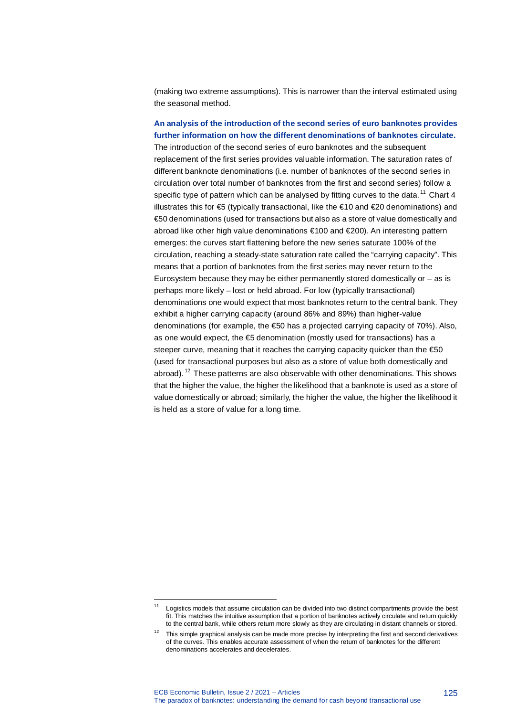(making two extreme assumptions). This is narrower than the interval estimated using the seasonal method.

## **An analysis of the introduction of the second series of euro banknotes provides further information on how the different denominations of banknotes circulate.**

The introduction of the second series of euro banknotes and the subsequent replacement of the first series provides valuable information. The saturation rates of different banknote denominations (i.e. number of banknotes of the second series in circulation over total number of banknotes from the first and second series) follow a specific type of pattern which can be analysed by fitting curves to the data.<sup>11</sup> Chart 4 illustrates this for  $\epsilon$ 5 (typically transactional, like the  $\epsilon$ 10 and  $\epsilon$ 20 denominations) and €50 denominations (used for transactions but also as a store of value domestically and abroad like other high value denominations €100 and €200). An interesting pattern emerges: the curves start flattening before the new series saturate 100% of the circulation, reaching a steady-state saturation rate called the "carrying capacity". This means that a portion of banknotes from the first series may never return to the Eurosystem because they may be either permanently stored domestically or  $-$  as is perhaps more likely – lost or held abroad. For low (typically transactional) denominations one would expect that most banknotes return to the central bank. They exhibit a higher carrying capacity (around 86% and 89%) than higher-value denominations (for example, the €50 has a projected carrying capacity of 70%). Also, as one would expect, the  $\epsilon$ 5 denomination (mostly used for transactions) has a steeper curve, meaning that it reaches the carrying capacity quicker than the €50 (used for transactional purposes but also as a store of value both domestically and abroad).<sup>12</sup> These patterns are also observable with other denominations. This shows that the higher the value, the higher the likelihood that a banknote is used as a store of value domestically or abroad; similarly, the higher the value, the higher the likelihood it is held as a store of value for a long time.

j

Logistics models that assume circulation can be divided into two distinct compartments provide the best fit. This matches the intuitive assumption that a portion of banknotes actively circulate and return quickly to the central bank, while others return more slowly as they are circulating in distant channels or stored.

 $12$  This simple graphical analysis can be made more precise by interpreting the first and second derivatives of the curves. This enables accurate assessment of when the return of banknotes for the different denominations accelerates and decelerates.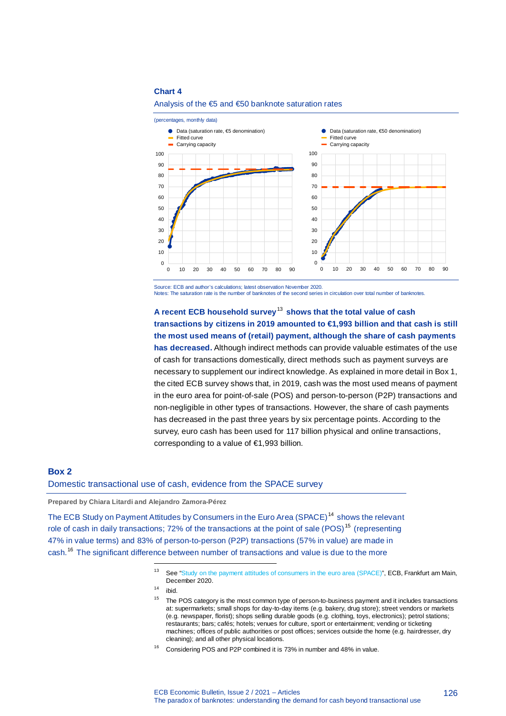#### **Chart 4**



#### Analysis of the €5 and €50 banknote saturation rates

Source: ECB and author's calculations; latest observation November 2020. Notes: The saturation rate is the number of banknotes of the second series in circulation over total number of banknotes.

**A recent ECB household survey**<sup>13</sup> **shows that the total value of cash transactions by citizens in 2019 amounted to €1,993 billion and that cash is still the most used means of (retail) payment, although the share of cash payments has decreased.** Although indirect methods can provide valuable estimates of the use of cash for transactions domestically, direct methods such as payment surveys are necessary to supplement our indirect knowledge. As explained in more detail in Box 1, the cited ECB survey shows that, in 2019, cash was the most used means of payment in the euro area for point-of-sale (POS) and person-to-person (P2P) transactions and non-negligible in other types of transactions. However, the share of cash payments has decreased in the past three years by six percentage points. According to the survey, euro cash has been used for 117 billion physical and online transactions, corresponding to a value of €1,993 billion.

## **Box 2** Domestic transactional use of cash, evidence from the SPACE survey

**Prepared by Chiara Litardi and Alejandro Zamora-Pérez**

The ECB Study on Payment Attitudes by Consumers in the Euro Area (SPACE)<sup>14</sup> shows the relevant role of cash in daily transactions; 72% of the transactions at the point of sale (POS)<sup>15</sup> (representing 47% in value terms) and 83% of person-to-person (P2P) transactions (57% in value) are made in cash.<sup>16</sup> The significant difference between number of transactions and value is due to the more

1

Considering POS and P2P combined it is 73% in number and 48% in value.

See "Study on the payment attitudes of consumers in the euro area (SPACE)", ECB, Frankfurt am Main, December 2020.

 $14$  ibid.

 $15$  The POS category is the most common type of person-to-business payment and it includes transactions at: supermarkets; small shops for day-to-day items (e.g. bakery, drug store); street vendors or markets (e.g. newspaper, florist); shops selling durable goods (e.g. clothing, toys, electronics); petrol stations; restaurants; bars; cafés; hotels; venues for culture, sport or entertainment; vending or ticketing machines; offices of public authorities or post offices; services outside the home (e.g. hairdresser, dry cleaning); and all other physical locations*.*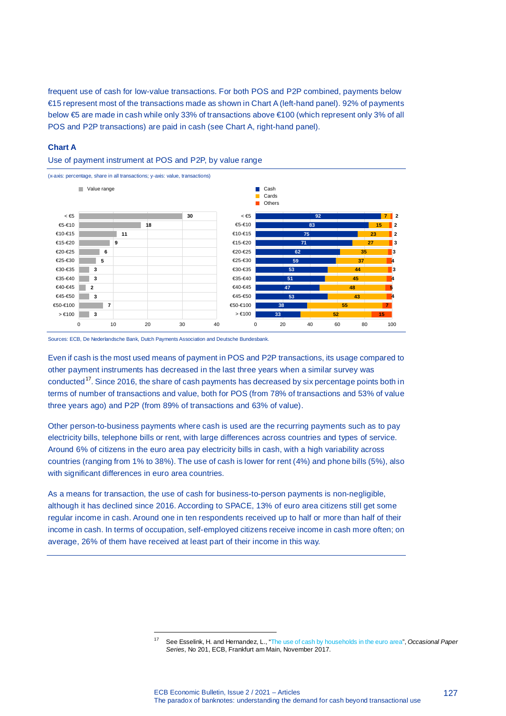frequent use of cash for low-value transactions. For both POS and P2P combined, payments below €15 represent most of the transactions made as shown in Chart A (left-hand panel). 92% of payments below €5 are made in cash while only 33% of transactions above €100 (which represent only 3% of all POS and P2P transactions) are paid in cash (see Chart A, right-hand panel).

### **Chart A**





Sources: ECB, De Nederlandsche Bank, Dutch Payments Association and Deutsche Bundesbank.

1

Even if cash is the most used means of payment in POS and P2P transactions, its usage compared to other payment instruments has decreased in the last three years when a similar survey was conducted<sup>17</sup>. Since 2016, the share of cash payments has decreased by six percentage points both in terms of number of transactions and value, both for POS (from 78% of transactions and 53% of value three years ago) and P2P (from 89% of transactions and 63% of value).

Other person-to-business payments where cash is used are the recurring payments such as to pay electricity bills, telephone bills or rent, with large differences across countries and types of service. Around 6% of citizens in the euro area pay electricity bills in cash, with a high variability across countries (ranging from 1% to 38%). The use of cash is lower for rent (4%) and phone bills (5%), also with significant differences in euro area countries.

As a means for transaction, the use of cash for business-to-person payments is non-negligible, although it has declined since 2016. According to SPACE, 13% of euro area citizens still get some regular income in cash. Around one in ten respondents received up to half or more than half of their income in cash. In terms of occupation, self-employed citizens receive income in cash more often; on average, 26% of them have received at least part of their income in this way.

<sup>17</sup> See Esselink, H. and Hernandez, L., "The use of cash by households in the euro area", *Occasional Paper Series*, No 201, ECB, Frankfurt am Main, November 2017.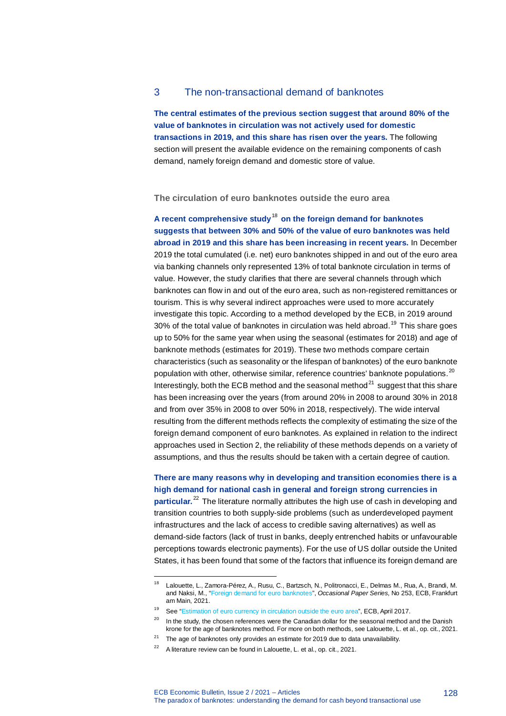## 3 The non-transactional demand of banknotes

**The central estimates of the previous section suggest that around 80% of the value of banknotes in circulation was not actively used for domestic transactions in 2019, and this share has risen over the years.** The following section will present the available evidence on the remaining components of cash demand, namely foreign demand and domestic store of value.

**The circulation of euro banknotes outside the euro area**

**A recent comprehensive study**<sup>18</sup> **on the foreign demand for banknotes suggests that between 30% and 50% of the value of euro banknotes was held abroad in 2019 and this share has been increasing in recent years.** In December 2019 the total cumulated (i.e. net) euro banknotes shipped in and out of the euro area via banking channels only represented 13% of total banknote circulation in terms of value. However, the study clarifies that there are several channels through which banknotes can flow in and out of the euro area, such as non-registered remittances or tourism. This is why several indirect approaches were used to more accurately investigate this topic. According to a method developed by the ECB, in 2019 around  $30\%$  of the total value of banknotes in circulation was held abroad.<sup>19</sup> This share goes up to 50% for the same year when using the seasonal (estimates for 2018) and age of banknote methods (estimates for 2019). These two methods compare certain characteristics (such as seasonality or the lifespan of banknotes) of the euro banknote population with other, otherwise similar, reference countries' banknote populations.<sup>20</sup> Interestingly, both the ECB method and the seasonal method $^{21}$  suggest that this share has been increasing over the years (from around 20% in 2008 to around 30% in 2018 and from over 35% in 2008 to over 50% in 2018, respectively). The wide interval resulting from the different methods reflects the complexity of estimating the size of the foreign demand component of euro banknotes. As explained in relation to the indirect approaches used in Section 2, the reliability of these methods depends on a variety of assumptions, and thus the results should be taken with a certain degree of caution.

### **There are many reasons why in developing and transition economies there is a high demand for national cash in general and foreign strong currencies in**

**particular.**<sup>22</sup> The literature normally attributes the high use of cash in developing and transition countries to both supply-side problems (such as underdeveloped payment infrastructures and the lack of access to credible saving alternatives) as well as demand-side factors (lack of trust in banks, deeply entrenched habits or unfavourable perceptions towards electronic payments). For the use of US dollar outside the United States, it has been found that some of the factors that influence its foreign demand are

j

<sup>18</sup> Lalouette, L., Zamora-Pérez, A., Rusu, C., Bartzsch, N., Politronacci, E., Delmas M., Rua, A., Brandi, M. and Naksi, M., "Foreign demand for euro banknotes", *Occasional Paper Series*, No 253, ECB, Frankfurt am Main, 2021.

<sup>19</sup> See "Estimation of euro currency in circulation outside the euro area", ECB, April 2017.

 $20$  In the study, the chosen references were the Canadian dollar for the seasonal method and the Danish krone for the age of banknotes method. For more on both methods, see Lalouette, L. et al., op. cit., 2021.

 $21$  The age of banknotes only provides an estimate for 2019 due to data unavailability.

<sup>&</sup>lt;sup>22</sup> A literature review can be found in Lalouette, L. et al., op. cit., 2021.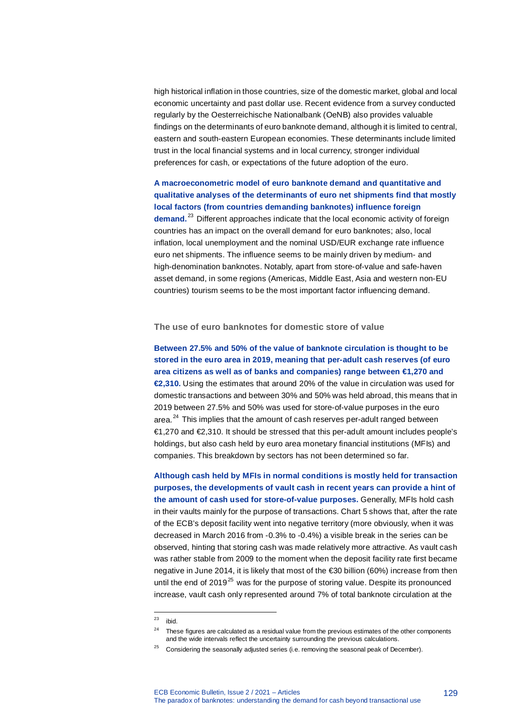high historical inflation in those countries, size of the domestic market, global and local economic uncertainty and past dollar use. Recent evidence from a survey conducted regularly by the Oesterreichische Nationalbank (OeNB) also provides valuable findings on the determinants of euro banknote demand, although it is limited to central, eastern and south-eastern European economies. These determinants include limited trust in the local financial systems and in local currency, stronger individual preferences for cash, or expectations of the future adoption of the euro.

**A macroeconometric model of euro banknote demand and quantitative and qualitative analyses of the determinants of euro net shipments find that mostly local factors (from countries demanding banknotes) influence foreign**  demand.<sup>23</sup> Different approaches indicate that the local economic activity of foreign countries has an impact on the overall demand for euro banknotes; also, local inflation, local unemployment and the nominal USD/EUR exchange rate influence euro net shipments. The influence seems to be mainly driven by medium- and high-denomination banknotes. Notably, apart from store-of-value and safe-haven asset demand, in some regions (Americas, Middle East, Asia and western non-EU countries) tourism seems to be the most important factor influencing demand.

**The use of euro banknotes for domestic store of value**

**Between 27.5% and 50% of the value of banknote circulation is thought to be stored in the euro area in 2019, meaning that per-adult cash reserves (of euro area citizens as well as of banks and companies) range between €1,270 and €2,310.** Using the estimates that around 20% of the value in circulation was used for domestic transactions and between 30% and 50% was held abroad, this means that in 2019 between 27.5% and 50% was used for store-of-value purposes in the euro area.<sup>24</sup> This implies that the amount of cash reserves per-adult ranged between €1,270 and €2,310. It should be stressed that this per-adult amount includes people's holdings, but also cash held by euro area monetary financial institutions (MFIs) and companies. This breakdown by sectors has not been determined so far.

**Although cash held by MFIs in normal conditions is mostly held for transaction purposes, the developments of vault cash in recent years can provide a hint of the amount of cash used for store-of-value purposes.** Generally, MFIs hold cash in their vaults mainly for the purpose of transactions. Chart 5 shows that, after the rate of the ECB's deposit facility went into negative territory (more obviously, when it was decreased in March 2016 from -0.3% to -0.4%) a visible break in the series can be observed, hinting that storing cash was made relatively more attractive. As vault cash was rather stable from 2009 to the moment when the deposit facility rate first became negative in June 2014, it is likely that most of the €30 billion (60%) increase from then until the end of 2019 $^{25}$  was for the purpose of storing value. Despite its pronounced increase, vault cash only represented around 7% of total banknote circulation at the

 $23$ ibid.

<sup>&</sup>lt;sup>24</sup> These figures are calculated as a residual value from the previous estimates of the other components and the wide intervals reflect the uncertainty surrounding the previous calculations.

Considering the seasonally adjusted series (i.e. removing the seasonal peak of December).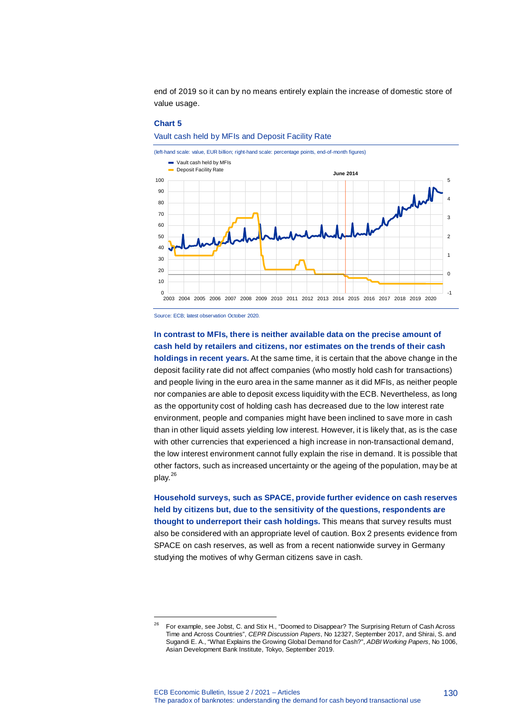end of 2019 so it can by no means entirely explain the increase of domestic store of value usage.

#### **Chart 5**

Vault cash held by MFIs and Deposit Facility Rate



Source: ECB; latest observation October 2020.

1

## **In contrast to MFIs, there is neither available data on the precise amount of cash held by retailers and citizens, nor estimates on the trends of their cash**

**holdings in recent years.** At the same time, it is certain that the above change in the deposit facility rate did not affect companies (who mostly hold cash for transactions) and people living in the euro area in the same manner as it did MFIs, as neither people nor companies are able to deposit excess liquidity with the ECB. Nevertheless, as long as the opportunity cost of holding cash has decreased due to the low interest rate environment, people and companies might have been inclined to save more in cash than in other liquid assets yielding low interest. However, it is likely that, as is the case with other currencies that experienced a high increase in non-transactional demand, the low interest environment cannot fully explain the rise in demand. It is possible that other factors, such as increased uncertainty or the ageing of the population, may be at play. $^{26}$ 

**Household surveys, such as SPACE, provide further evidence on cash reserves held by citizens but, due to the sensitivity of the questions, respondents are thought to underreport their cash holdings.** This means that survey results must also be considered with an appropriate level of caution. Box 2 presents evidence from SPACE on cash reserves, as well as from a recent nationwide survey in Germany studying the motives of why German citizens save in cash.

<sup>&</sup>lt;sup>26</sup> For example, see Jobst, C. and Stix H., "Doomed to Disappear? The Surprising Return of Cash Across Time and Across Countries", *CEPR Discussion Papers*, No 12327, September 2017, and Shirai, S. and Sugandi E. A., "What Explains the Growing Global Demand for Cash?", *ADBI Working Papers*, No 1006, Asian Development Bank Institute, Tokyo, September 2019.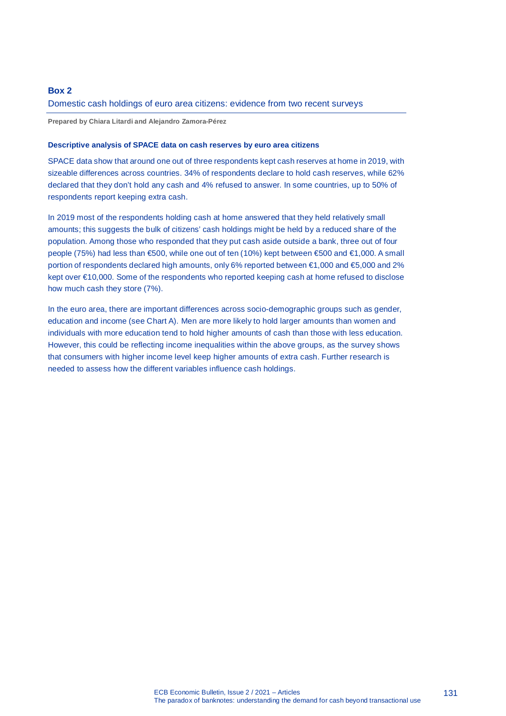## **Box 2**

### Domestic cash holdings of euro area citizens: evidence from two recent surveys

**Prepared by Chiara Litardi and Alejandro Zamora-Pérez**

### **Descriptive analysis of SPACE data on cash reserves by euro area citizens**

SPACE data show that around one out of three respondents kept cash reserves at home in 2019, with sizeable differences across countries. 34% of respondents declare to hold cash reserves, while 62% declared that they don't hold any cash and 4% refused to answer. In some countries, up to 50% of respondents report keeping extra cash.

In 2019 most of the respondents holding cash at home answered that they held relatively small amounts; this suggests the bulk of citizens' cash holdings might be held by a reduced share of the population. Among those who responded that they put cash aside outside a bank, three out of four people (75%) had less than €500, while one out of ten (10%) kept between €500 and €1,000. A small portion of respondents declared high amounts, only 6% reported between €1,000 and €5,000 and 2% kept over €10,000. Some of the respondents who reported keeping cash at home refused to disclose how much cash they store (7%).

In the euro area, there are important differences across socio-demographic groups such as gender, education and income (see Chart A). Men are more likely to hold larger amounts than women and individuals with more education tend to hold higher amounts of cash than those with less education. However, this could be reflecting income inequalities within the above groups, as the survey shows that consumers with higher income level keep higher amounts of extra cash. Further research is needed to assess how the different variables influence cash holdings.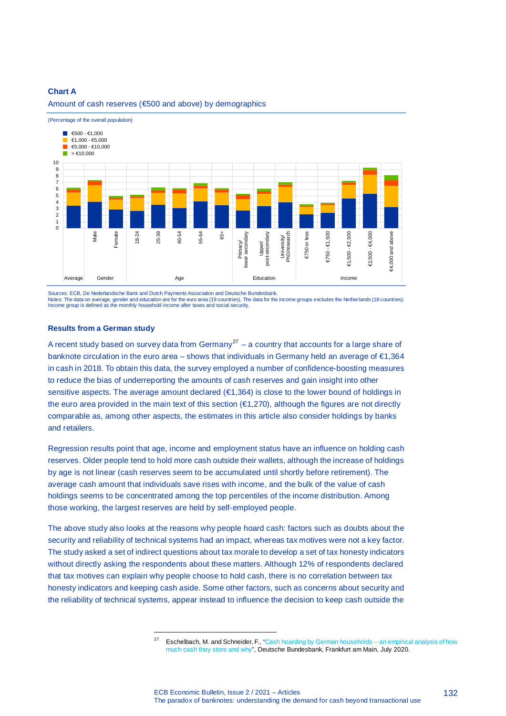### **Chart A**





1

Sources: ECB, De Nederlandsche Bank and Dutch Payments Association and Deutsche Bundesbank.<br>Notes: The data on average, gender and education are for the euro area (19 countries). The data for the income groups excludes the Income group is defined as the monthly household income after taxes and social security.

#### **Results from a German study**

A recent study based on survey data from Germany<sup>27</sup> – a country that accounts for a large share of banknote circulation in the euro area – shows that individuals in Germany held an average of €1,364 in cash in 2018. To obtain this data, the survey employed a number of confidence-boosting measures to reduce the bias of underreporting the amounts of cash reserves and gain insight into other sensitive aspects. The average amount declared (€1,364) is close to the lower bound of holdings in the euro area provided in the main text of this section (€1,270), although the figures are not directly comparable as, among other aspects, the estimates in this article also consider holdings by banks and retailers.

Regression results point that age, income and employment status have an influence on holding cash reserves. Older people tend to hold more cash outside their wallets, although the increase of holdings by age is not linear (cash reserves seem to be accumulated until shortly before retirement). The average cash amount that individuals save rises with income, and the bulk of the value of cash holdings seems to be concentrated among the top percentiles of the income distribution. Among those working, the largest reserves are held by self-employed people.

The above study also looks at the reasons why people hoard cash: factors such as doubts about the security and reliability of technical systems had an impact, whereas tax motives were not a key factor. The study asked a set of indirect questions about tax morale to develop a set of tax honesty indicators without directly asking the respondents about these matters. Although 12% of respondents declared that tax motives can explain why people choose to hold cash, there is no correlation between tax honesty indicators and keeping cash aside. Some other factors, such as concerns about security and the reliability of technical systems, appear instead to influence the decision to keep cash outside the

<sup>&</sup>lt;sup>27</sup> Eschelbach, M. and Schneider, F., "Cash hoarding by German households – an empirical analysis of how much cash they store and why", Deutsche Bundesbank, Frankfurt am Main, July 2020.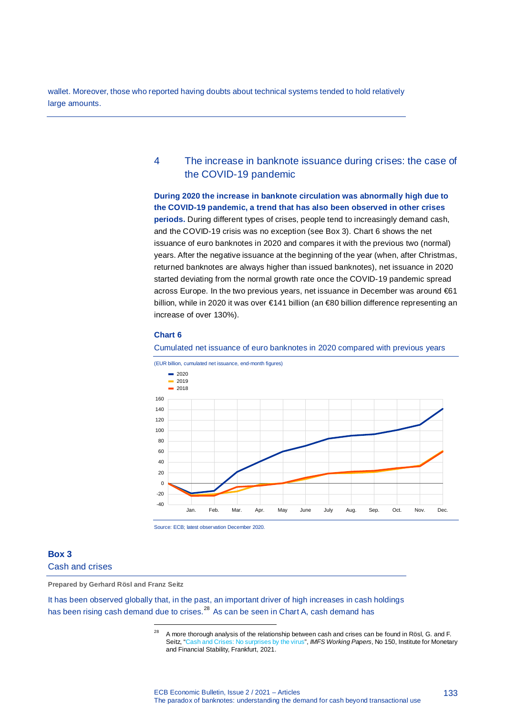wallet. Moreover, those who reported having doubts about technical systems tended to hold relatively large amounts.

## 4 The increase in banknote issuance during crises: the case of the COVID-19 pandemic

**During 2020 the increase in banknote circulation was abnormally high due to the COVID-19 pandemic, a trend that has also been observed in other crises periods.** During different types of crises, people tend to increasingly demand cash, and the COVID-19 crisis was no exception (see Box 3). Chart 6 shows the net issuance of euro banknotes in 2020 and compares it with the previous two (normal) years. After the negative issuance at the beginning of the year (when, after Christmas, returned banknotes are always higher than issued banknotes), net issuance in 2020 started deviating from the normal growth rate once the COVID-19 pandemic spread across Europe. In the two previous years, net issuance in December was around €61 billion, while in 2020 it was over €141 billion (an €80 billion difference representing an increase of over 130%).

### **Chart 6**

#### Cumulated net issuance of euro banknotes in 2020 compared with previous years





### **Box 3**

Cash and crises

**Prepared by Gerhard Rösl and Franz Seitz**

1

It has been observed globally that, in the past, an important driver of high increases in cash holdings has been rising cash demand due to crises.<sup>28</sup> As can be seen in Chart A, cash demand has

<sup>&</sup>lt;sup>28</sup> A more thorough analysis of the relationship between cash and crises can be found in Rösl, G. and F. Seitz, "Cash and Crises: No surprises by the virus", *IMFS Working Papers*, No 150, Institute for Monetary and Financial Stability, Frankfurt, 2021.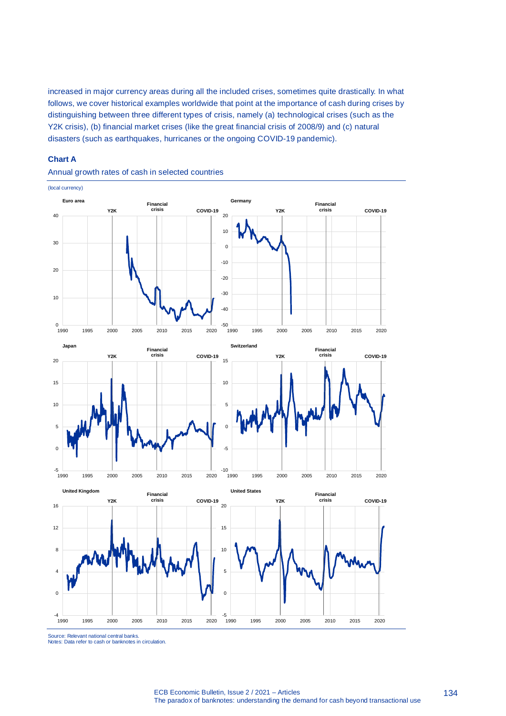increased in major currency areas during all the included crises, sometimes quite drastically. In what follows, we cover historical examples worldwide that point at the importance of cash during crises by distinguishing between three different types of crisis, namely (a) technological crises (such as the Y2K crisis), (b) financial market crises (like the great financial crisis of 2008/9) and (c) natural disasters (such as earthquakes, hurricanes or the ongoing COVID-19 pandemic).

### **Chart A**



Annual growth rates of cash in selected countries

Source: Relevant national central banks. Notes: Data refer to cash or banknotes in circulation.

ECB Economic Bulletin, Issue 2 / 2021 – Articles The paradox of banknotes: understanding the demand for cash beyond transactional use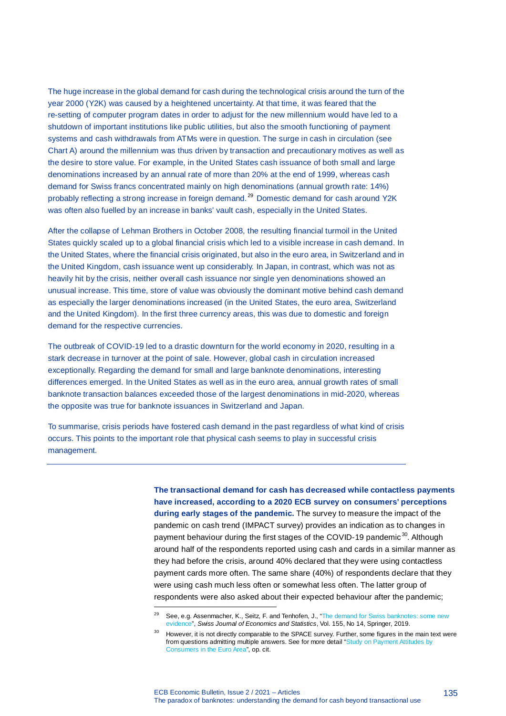The huge increase in the global demand for cash during the technological crisis around the turn of the year 2000 (Y2K) was caused by a heightened uncertainty. At that time, it was feared that the re-setting of computer program dates in order to adjust for the new millennium would have led to a shutdown of important institutions like public utilities, but also the smooth functioning of payment systems and cash withdrawals from ATMs were in question. The surge in cash in circulation (see Chart A) around the millennium was thus driven by transaction and precautionary motives as well as the desire to store value. For example, in the United States cash issuance of both small and large denominations increased by an annual rate of more than 20% at the end of 1999, whereas cash demand for Swiss francs concentrated mainly on high denominations (annual growth rate: 14%) probably reflecting a strong increase in foreign demand.<sup>29</sup> Domestic demand for cash around Y2K was often also fuelled by an increase in banks' vault cash, especially in the United States.

After the collapse of Lehman Brothers in October 2008, the resulting financial turmoil in the United States quickly scaled up to a global financial crisis which led to a visible increase in cash demand. In the United States, where the financial crisis originated, but also in the euro area, in Switzerland and in the United Kingdom, cash issuance went up considerably. In Japan, in contrast, which was not as heavily hit by the crisis, neither overall cash issuance nor single yen denominations showed an unusual increase. This time, store of value was obviously the dominant motive behind cash demand as especially the larger denominations increased (in the United States, the euro area, Switzerland and the United Kingdom). In the first three currency areas, this was due to domestic and foreign demand for the respective currencies.

The outbreak of COVID-19 led to a drastic downturn for the world economy in 2020, resulting in a stark decrease in turnover at the point of sale. However, global cash in circulation increased exceptionally. Regarding the demand for small and large banknote denominations, interesting differences emerged. In the United States as well as in the euro area, annual growth rates of small banknote transaction balances exceeded those of the largest denominations in mid-2020, whereas the opposite was true for banknote issuances in Switzerland and Japan.

To summarise, crisis periods have fostered cash demand in the past regardless of what kind of crisis occurs. This points to the important role that physical cash seems to play in successful crisis management.

j

**The transactional demand for cash has decreased while contactless payments have increased, according to a 2020 ECB survey on consumers' perceptions during early stages of the pandemic.** The survey to measure the impact of the pandemic on cash trend (IMPACT survey) provides an indication as to changes in payment behaviour during the first stages of the COVID-19 pandemic<sup>30</sup>. Although around half of the respondents reported using cash and cards in a similar manner as they had before the crisis, around 40% declared that they were using contactless payment cards more often. The same share (40%) of respondents declare that they were using cash much less often or somewhat less often. The latter group of respondents were also asked about their expected behaviour after the pandemic;

<sup>&</sup>lt;sup>29</sup> See, e.g. Assenmacher, K., Seitz, F. and Tenhofen, J., "The demand for Swiss banknotes: some new evidence", *Swiss Journal of Economics and Statistics*, Vol. 155, No 14, Springer, 2019.

<sup>&</sup>lt;sup>30</sup> However, it is not directly comparable to the SPACE survey. Further, some figures in the main text were from questions admitting multiple answers. See for more detail "Study on Payment Attitudes by Consumers in the Euro Area", op. cit.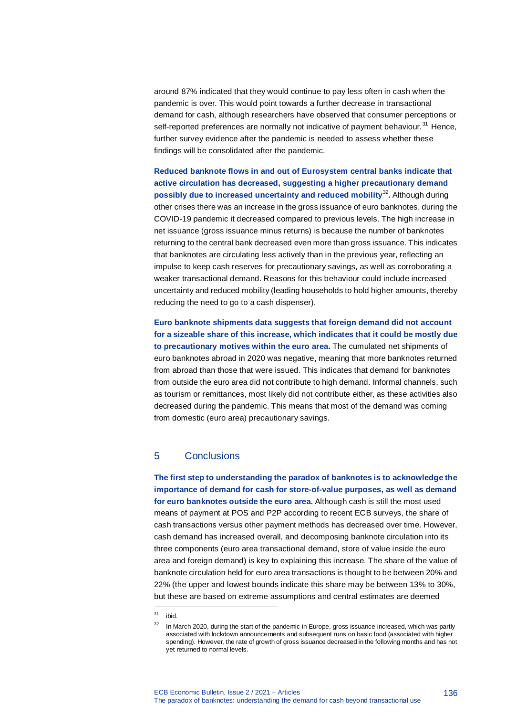around 87% indicated that they would continue to pay less often in cash when the pandemic is over. This would point towards a further decrease in transactional demand for cash, although researchers have observed that consumer perceptions or self-reported preferences are normally not indicative of payment behaviour.<sup>31</sup> Hence, further survey evidence after the pandemic is needed to assess whether these findings will be consolidated after the pandemic.

**Reduced banknote flows in and out of Eurosystem central banks indicate that active circulation has decreased, suggesting a higher precautionary demand possibly due to increased uncertainty and reduced mobility**<sup>32</sup>**.** Although during other crises there was an increase in the gross issuance of euro banknotes, during the COVID-19 pandemic it decreased compared to previous levels. The high increase in net issuance (gross issuance minus returns) is because the number of banknotes returning to the central bank decreased even more than gross issuance. This indicates that banknotes are circulating less actively than in the previous year, reflecting an impulse to keep cash reserves for precautionary savings, as well as corroborating a weaker transactional demand. Reasons for this behaviour could include increased uncertainty and reduced mobility (leading households to hold higher amounts, thereby reducing the need to go to a cash dispenser).

**Euro banknote shipments data suggests that foreign demand did not account for a sizeable share of this increase, which indicates that it could be mostly due to precautionary motives within the euro area.** The cumulated net shipments of euro banknotes abroad in 2020 was negative, meaning that more banknotes returned from abroad than those that were issued. This indicates that demand for banknotes from outside the euro area did not contribute to high demand. Informal channels, such as tourism or remittances, most likely did not contribute either, as these activities also decreased during the pandemic. This means that most of the demand was coming from domestic (euro area) precautionary savings.

## 5 Conclusions

**The first step to understanding the paradox of banknotes is to acknowledge the importance of demand for cash for store-of-value purposes, as well as demand for euro banknotes outside the euro area.** Although cash is still the most used means of payment at POS and P2P according to recent ECB surveys, the share of cash transactions versus other payment methods has decreased over time. However, cash demand has increased overall, and decomposing banknote circulation into its three components (euro area transactional demand, store of value inside the euro area and foreign demand) is key to explaining this increase. The share of the value of banknote circulation held for euro area transactions is thought to be between 20% and 22% (the upper and lowest bounds indicate this share may be between 13% to 30%, but these are based on extreme assumptions and central estimates are deemed

j

136

<sup>31</sup> ibid.

<sup>&</sup>lt;sup>32</sup> In March 2020, during the start of the pandemic in Europe, gross issuance increased, which was partly associated with lockdown announcements and subsequent runs on basic food (associated with higher spending). However, the rate of growth of gross issuance decreased in the following months and has not yet returned to normal levels.